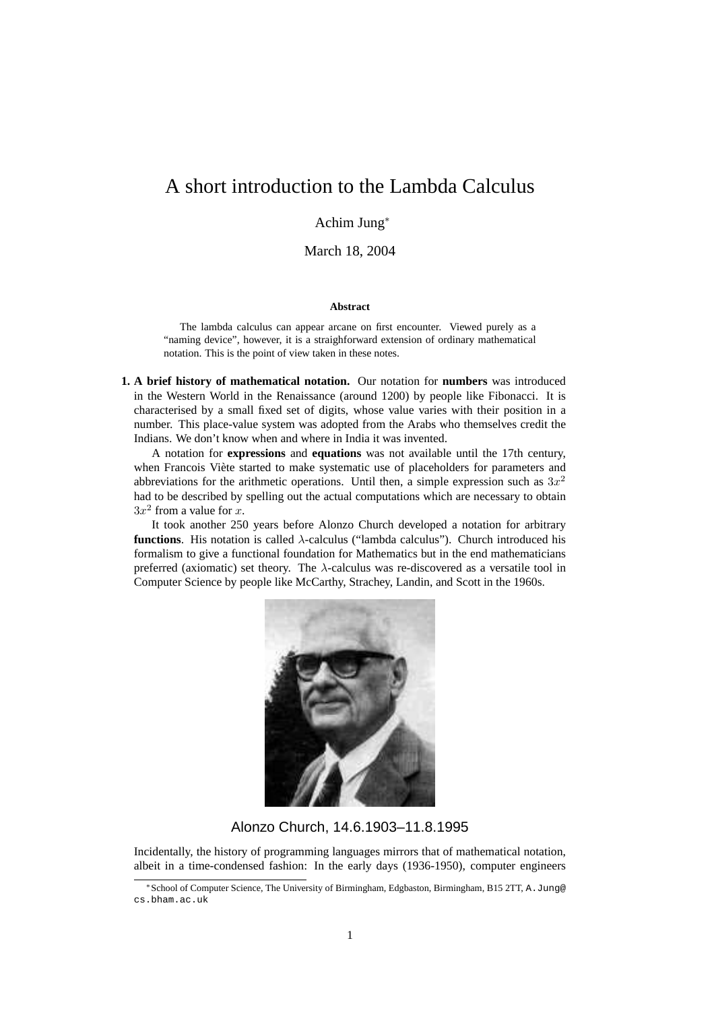# A short introduction to the Lambda Calculus

# Achim Jung<sup>∗</sup>

March 18, 2004

## **Abstract**

The lambda calculus can appear arcane on first encounter. Viewed purely as a "naming device", however, it is a straighforward extension of ordinary mathematical notation. This is the point of view taken in these notes.

**1. A brief history of mathematical notation.** Our notation for **numbers** was introduced in the Western World in the Renaissance (around 1200) by people like Fibonacci. It is characterised by a small fixed set of digits, whose value varies with their position in a number. This place-value system was adopted from the Arabs who themselves credit the Indians. We don't know when and where in India it was invented.

A notation for **expressions** and **equations** was not available until the 17th century, when Francois Viète started to make systematic use of placeholders for parameters and abbreviations for the arithmetic operations. Until then, a simple expression such as  $3x^2$ had to be described by spelling out the actual computations which are necessary to obtain  $3x^2$  from a value for x.

It took another 250 years before Alonzo Church developed a notation for arbitrary **functions**. His notation is called λ-calculus ("lambda calculus"). Church introduced his formalism to give a functional foundation for Mathematics but in the end mathematicians preferred (axiomatic) set theory. The  $\lambda$ -calculus was re-discovered as a versatile tool in Computer Science by people like McCarthy, Strachey, Landin, and Scott in the 1960s.



Alonzo Church, 14.6.1903–11.8.1995

Incidentally, the history of programming languages mirrors that of mathematical notation, albeit in a time-condensed fashion: In the early days (1936-1950), computer engineers

<sup>∗</sup>School of Computer Science, The University of Birmingham, Edgbaston, Birmingham, B15 2TT, A.Jung@ cs.bham.ac.uk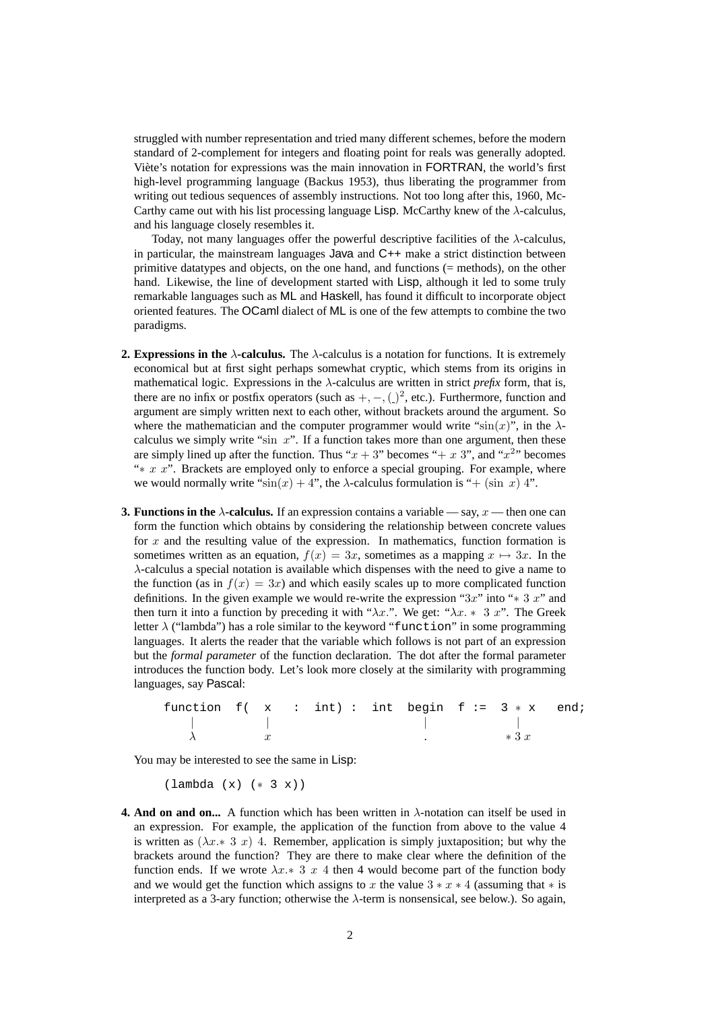struggled with number representation and tried many different schemes, before the modern standard of 2-complement for integers and floating point for reals was generally adopted. Viète's notation for expressions was the main innovation in **FORTRAN**, the world's first high-level programming language (Backus 1953), thus liberating the programmer from writing out tedious sequences of assembly instructions. Not too long after this, 1960, Mc-Carthy came out with his list processing language Lisp. McCarthy knew of the  $\lambda$ -calculus, and his language closely resembles it.

Today, not many languages offer the powerful descriptive facilities of the  $\lambda$ -calculus, in particular, the mainstream languages Java and C++ make a strict distinction between primitive datatypes and objects, on the one hand, and functions (= methods), on the other hand. Likewise, the line of development started with Lisp, although it led to some truly remarkable languages such as ML and Haskell, has found it difficult to incorporate object oriented features. The OCaml dialect of ML is one of the few attempts to combine the two paradigms.

- **2. Expressions in the**  $\lambda$ -calculus. The  $\lambda$ -calculus is a notation for functions. It is extremely economical but at first sight perhaps somewhat cryptic, which stems from its origins in mathematical logic. Expressions in the  $\lambda$ -calculus are written in strict *prefix* form, that is, there are no infix or postfix operators (such as  $+$ ,  $-$ ,  $($ )<sup>2</sup>, etc.). Furthermore, function and argument are simply written next to each other, without brackets around the argument. So where the mathematician and the computer programmer would write " $\sin(x)$ ", in the  $\lambda$ calculus we simply write "sin  $x$ ". If a function takes more than one argument, then these are simply lined up after the function. Thus " $x + 3$ " becomes "+ x 3", and " $x^2$ " becomes " $* x x$ ". Brackets are employed only to enforce a special grouping. For example, where we would normally write " $\sin(x) + 4$ ", the  $\lambda$ -calculus formulation is "+ (sin x) 4".
- **3. Functions in the**  $\lambda$ **-calculus.** If an expression contains a variable say,  $x$  then one can form the function which obtains by considering the relationship between concrete values for x and the resulting value of the expression. In mathematics, function formation is sometimes written as an equation,  $f(x) = 3x$ , sometimes as a mapping  $x \mapsto 3x$ . In the λ-calculus a special notation is available which dispenses with the need to give a name to the function (as in  $f(x) = 3x$ ) and which easily scales up to more complicated function definitions. In the given example we would re-write the expression "3x" into " $*$  3 x" and then turn it into a function by preceding it with " $\lambda x$ .". We get: " $\lambda x \cdot * 3 x$ ". The Greek letter  $\lambda$  ("lambda") has a role similar to the keyword "function" in some programming languages. It alerts the reader that the variable which follows is not part of an expression but the *formal parameter* of the function declaration. The dot after the formal parameter introduces the function body. Let's look more closely at the similarity with programming languages, say Pascal:

function  $f(x : int) : int$  begin  $f := 3 * x$  end; | | | |  $\lambda$   $x$   $*3x$ 

You may be interested to see the same in Lisp:

(lambda (x) (∗ 3 x))

**4. And on and on...** A function which has been written in  $\lambda$ -notation can itself be used in an expression. For example, the application of the function from above to the value 4 is written as  $(\lambda x \cdot 3 x)$  4. Remember, application is simply juxtaposition; but why the brackets around the function? They are there to make clear where the definition of the function ends. If we wrote  $\lambda x \cdot 3$  x 4 then 4 would become part of the function body and we would get the function which assigns to x the value  $3 * x * 4$  (assuming that  $*$  is interpreted as a 3-ary function; otherwise the λ-term is nonsensical, see below.). So again,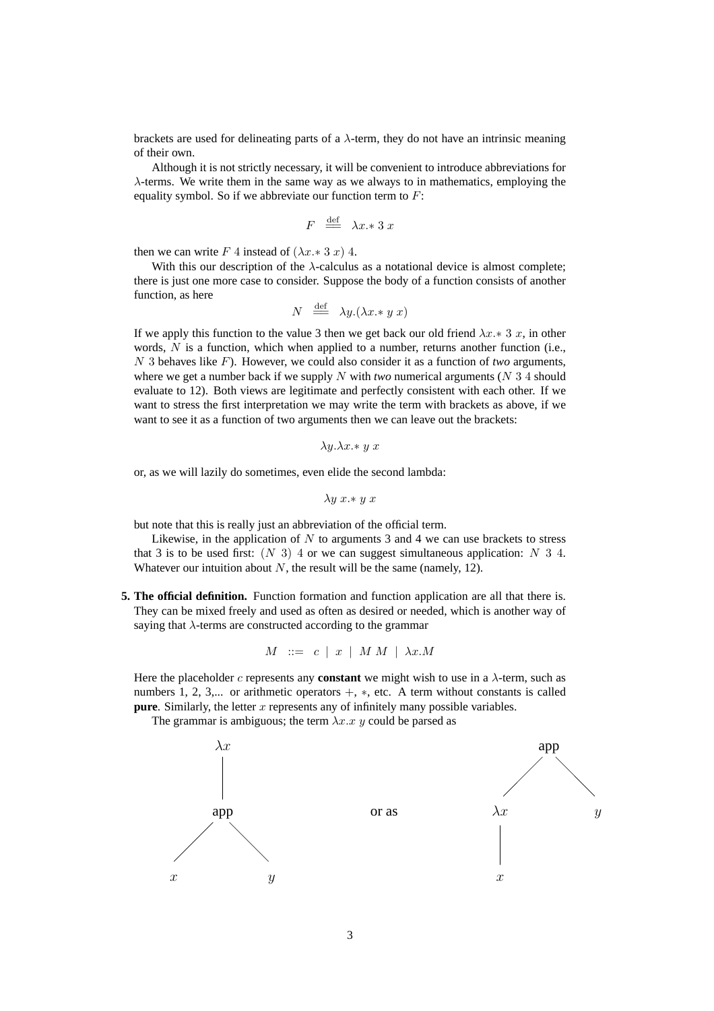brackets are used for delineating parts of a  $\lambda$ -term, they do not have an intrinsic meaning of their own.

Although it is not strictly necessary, it will be convenient to introduce abbreviations for  $\lambda$ -terms. We write them in the same way as we always to in mathematics, employing the equality symbol. So if we abbreviate our function term to  $F$ :

$$
F \stackrel{\text{def}}{=} \lambda x \cdot 3 x
$$

then we can write F 4 instead of  $(\lambda x \cdot 3 x)$  4.

With this our description of the  $\lambda$ -calculus as a notational device is almost complete; there is just one more case to consider. Suppose the body of a function consists of another function, as here

$$
N \stackrel{\text{def}}{=} \lambda y.(\lambda x \cdot y \cdot x)
$$

If we apply this function to the value 3 then we get back our old friend  $\lambda x.* 3 x$ , in other words,  $N$  is a function, which when applied to a number, returns another function (i.e., N 3 behaves like F). However, we could also consider it as a function of *two* arguments, where we get a number back if we supply N with *two* numerical arguments ( $N$  3 4 should evaluate to 12). Both views are legitimate and perfectly consistent with each other. If we want to stress the first interpretation we may write the term with brackets as above, if we want to see it as a function of two arguments then we can leave out the brackets:

$$
\lambda y. \lambda x. * y x
$$

or, as we will lazily do sometimes, even elide the second lambda:

$$
\lambda y\ x \ast y\ x
$$

but note that this is really just an abbreviation of the official term.

Likewise, in the application of  $N$  to arguments 3 and 4 we can use brackets to stress that 3 is to be used first:  $(N \ 3)$  4 or we can suggest simultaneous application:  $N \ 3 \ 4$ . Whatever our intuition about  $N$ , the result will be the same (namely, 12).

**5. The official definition.** Function formation and function application are all that there is. They can be mixed freely and used as often as desired or needed, which is another way of saying that  $\lambda$ -terms are constructed according to the grammar

$$
M \ ::= \ c \ | \ x \ | \ M \ M \ | \ \lambda x.M
$$

Here the placeholder c represents any **constant** we might wish to use in a  $\lambda$ -term, such as numbers 1, 2, 3,... or arithmetic operators  $+$ ,  $*$ , etc. A term without constants is called **pure**. Similarly, the letter x represents any of infinitely many possible variables.

The grammar is ambiguous; the term  $\lambda x.x$  y could be parsed as

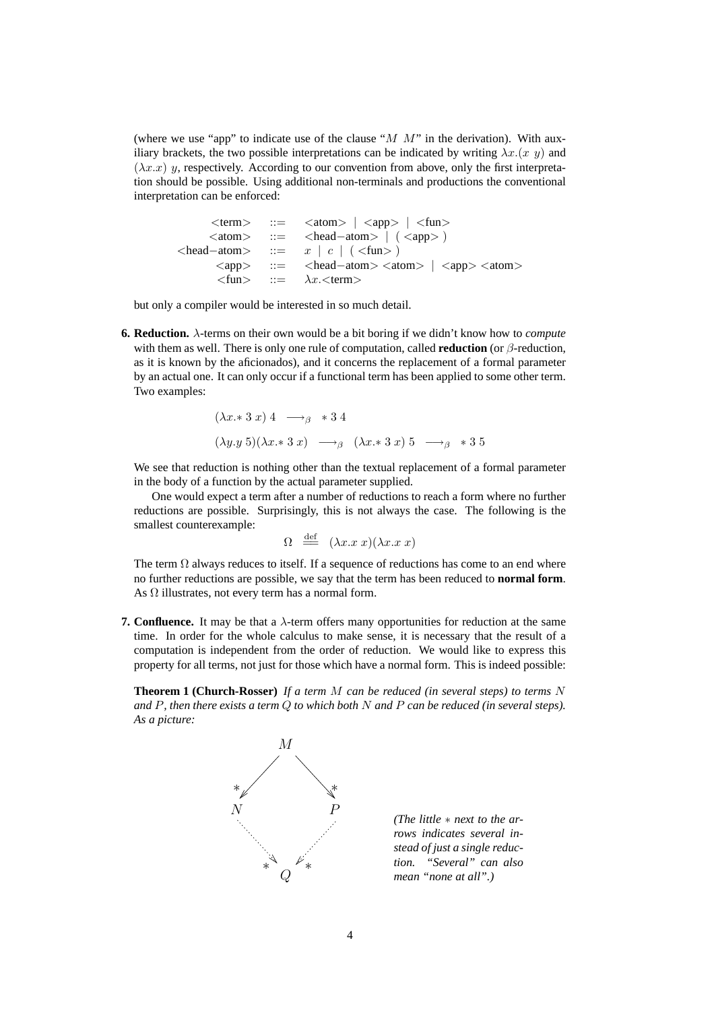(where we use "app" to indicate use of the clause " $M$   $M$ " in the derivation). With auxiliary brackets, the two possible interpretations can be indicated by writing  $\lambda x.(x \, y)$  and  $(\lambda x.x)$  y, respectively. According to our convention from above, only the first interpretation should be possible. Using additional non-terminals and productions the conventional interpretation can be enforced:

 $\langle \text{term} \rangle$  ::=  $\langle \text{atom} \rangle$  |  $\langle \text{app} \rangle$  |  $\langle \text{fun} \rangle$ <atom> ::= <head−atom> | ( <app> )  $\langle head - atom \rangle$  ::=  $x \mid c \mid (\langle func \rangle)$ <app> ::= <head−atom> <atom> | <app> <atom>  $\langle \text{fun} \rangle$  ::=  $\lambda x. \langle \text{term} \rangle$ 

but only a compiler would be interested in so much detail.

**6. Reduction.** λ-terms on their own would be a bit boring if we didn't know how to *compute* with them as well. There is only one rule of computation, called **reduction** (or β-reduction, as it is known by the aficionados), and it concerns the replacement of a formal parameter by an actual one. It can only occur if a functional term has been applied to some other term. Two examples:

$$
(\lambda x. * 3 x) 4 \longrightarrow_{\beta} * 3 4
$$
  

$$
(\lambda y. y 5)(\lambda x. * 3 x) \longrightarrow_{\beta} (\lambda x. * 3 x) 5 \longrightarrow_{\beta} * 3 5
$$

We see that reduction is nothing other than the textual replacement of a formal parameter in the body of a function by the actual parameter supplied.

One would expect a term after a number of reductions to reach a form where no further reductions are possible. Surprisingly, this is not always the case. The following is the smallest counterexample:

$$
\Omega \equiv (\lambda x . x x)(\lambda x . x x)
$$

The term  $\Omega$  always reduces to itself. If a sequence of reductions has come to an end where no further reductions are possible, we say that the term has been reduced to **normal form**. As  $\Omega$  illustrates, not every term has a normal form.

**7. Confluence.** It may be that a λ-term offers many opportunities for reduction at the same time. In order for the whole calculus to make sense, it is necessary that the result of a computation is independent from the order of reduction. We would like to express this property for all terms, not just for those which have a normal form. This is indeed possible:

**Theorem 1 (Church-Rosser)** *If a term* M *can be reduced (in several steps) to terms* N *and* P*, then there exists a term* Q *to which both* N *and* P *can be reduced (in several steps). As a picture:*



*(The little* ∗ *next to the arrows indicates several instead of just a single reduction. "Several" can also mean "none at all".)*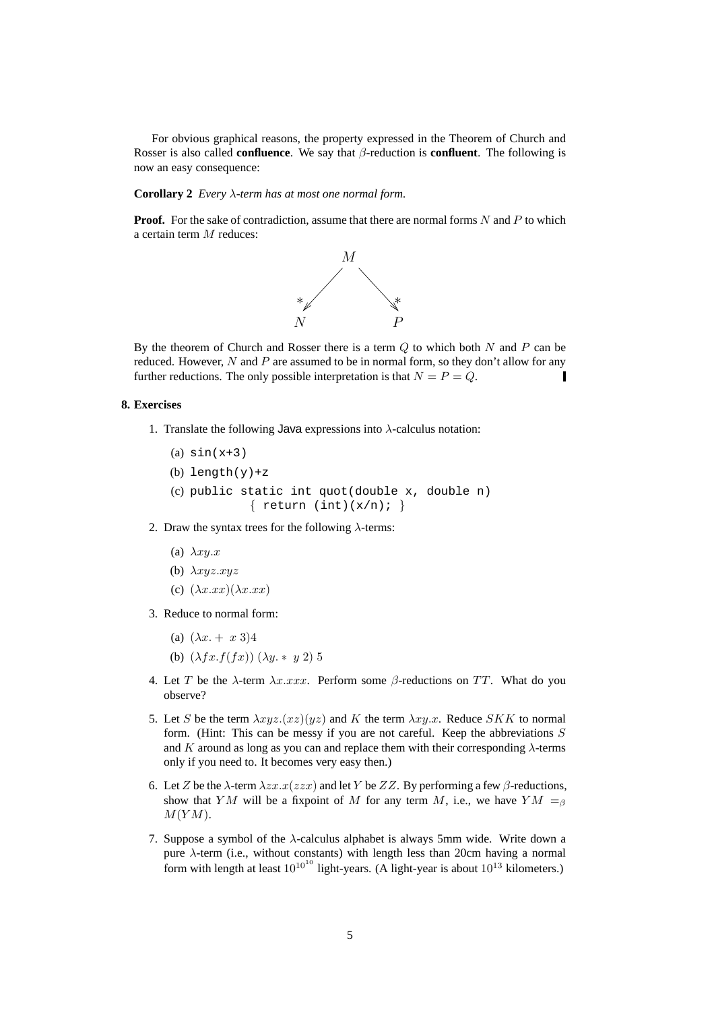For obvious graphical reasons, the property expressed in the Theorem of Church and Rosser is also called **confluence**. We say that β-reduction is **confluent**. The following is now an easy consequence:

### **Corollary 2** *Every* λ*-term has at most one normal form.*

**Proof.** For the sake of contradiction, assume that there are normal forms N and P to which a certain term M reduces:



By the theorem of Church and Rosser there is a term  $Q$  to which both  $N$  and  $P$  can be reduced. However,  $N$  and  $P$  are assumed to be in normal form, so they don't allow for any further reductions. The only possible interpretation is that  $N = P = Q$ . П

## **8. Exercises**

1. Translate the following Java expressions into  $\lambda$ -calculus notation:

(a)  $sin(x+3)$ (b) length $(y)$ +z (c) public static int quot(double x, double n) { return (int)( $x/n$ ); }

- 2. Draw the syntax trees for the following  $\lambda$ -terms:
	- (a)  $\lambda xy.x$
	- (b)  $\lambda xyz.xyz$
	- (c)  $(\lambda x.xx)(\lambda x.xx)$
- 3. Reduce to normal form:
	- (a)  $(\lambda x + x 3)4$
	- (b)  $(\lambda fx.f(fx)) (\lambda y. * y 2) 5$
- 4. Let T be the  $\lambda$ -term  $\lambda x. x x x$ . Perform some  $\beta$ -reductions on TT. What do you observe?
- 5. Let S be the term  $\lambda xyz.(xz)(yz)$  and K the term  $\lambda xy.x$ . Reduce SKK to normal form. (Hint: This can be messy if you are not careful. Keep the abbreviations  $S$ and K around as long as you can and replace them with their corresponding  $\lambda$ -terms only if you need to. It becomes very easy then.)
- 6. Let Z be the  $\lambda$ -term  $\lambda zx.x(zzx)$  and let Y be ZZ. By performing a few  $\beta$ -reductions, show that YM will be a fixpoint of M for any term M, i.e., we have  $YM =_\beta$  $M(YM)$ .
- 7. Suppose a symbol of the  $\lambda$ -calculus alphabet is always 5mm wide. Write down a pure  $\lambda$ -term (i.e., without constants) with length less than 20cm having a normal form with length at least  $10^{10^{10}}$  light-years. (A light-year is about  $10^{13}$  kilometers.)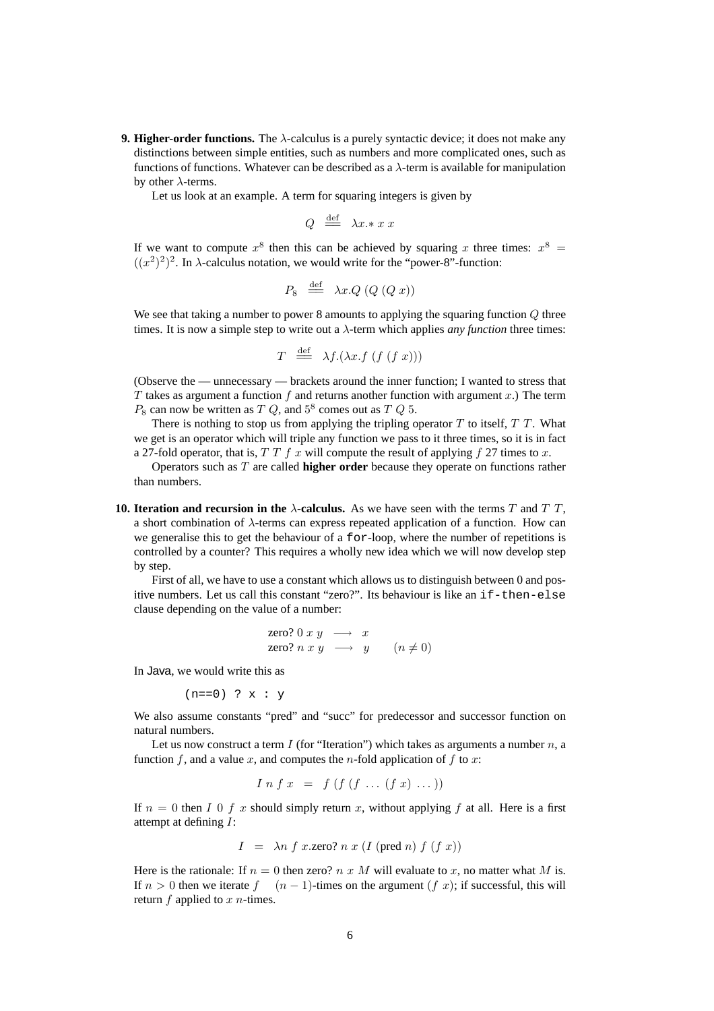**9. Higher-order functions.** The λ-calculus is a purely syntactic device; it does not make any distinctions between simple entities, such as numbers and more complicated ones, such as functions of functions. Whatever can be described as a  $\lambda$ -term is available for manipulation by other  $\lambda$ -terms.

Let us look at an example. A term for squaring integers is given by

$$
Q \stackrel{\text{def}}{=} \lambda x \cdot x x
$$

If we want to compute  $x^8$  then this can be achieved by squaring x three times:  $x^8 =$  $((x^2)^2)^2$ . In  $\lambda$ -calculus notation, we would write for the "power-8"-function:

$$
P_8 \stackrel{\text{def}}{=} \lambda x. Q \ (Q \ (Q \ x))
$$

We see that taking a number to power 8 amounts to applying the squaring function Q three times. It is now a simple step to write out a  $\lambda$ -term which applies *any function* three times:

$$
T \stackrel{\text{def}}{=} \lambda f.(\lambda x.f (f (f x)))
$$

(Observe the — unnecessary — brackets around the inner function; I wanted to stress that T takes as argument a function f and returns another function with argument  $x$ .) The term  $P_8$  can now be written as  $T Q$ , and  $5^8$  comes out as  $T Q 5$ .

There is nothing to stop us from applying the tripling operator  $T$  to itself,  $T$   $T$ . What we get is an operator which will triple any function we pass to it three times, so it is in fact a 27-fold operator, that is,  $T T f x$  will compute the result of applying f 27 times to x.

Operators such as T are called **higher order** because they operate on functions rather than numbers.

**10. Iteration and recursion in the**  $\lambda$ **-calculus.** As we have seen with the terms T and T T, a short combination of  $\lambda$ -terms can express repeated application of a function. How can we generalise this to get the behaviour of a for-loop, where the number of repetitions is controlled by a counter? This requires a wholly new idea which we will now develop step by step.

First of all, we have to use a constant which allows us to distinguish between 0 and positive numbers. Let us call this constant "zero?". Its behaviour is like an if-then-else clause depending on the value of a number:

$$
\begin{array}{rcl}\n\text{zero? 0 } x y & \longrightarrow & x \\
\text{zero? } n x y & \longrightarrow & y \\
\end{array} \quad (n \neq 0)
$$

In Java, we would write this as

 $(n==0)$  ?  $x : y$ 

We also assume constants "pred" and "succ" for predecessor and successor function on natural numbers.

Let us now construct a term  $I$  (for "Iteration") which takes as arguments a number  $n$ , a function f, and a value x, and computes the n-fold application of f to x:

$$
I \; n \; f \; x \;\; = \;\; f \; (f \; (f \; \ldots \; (f \; x) \; \ldots \;))
$$

If  $n = 0$  then I 0 f x should simply return x, without applying f at all. Here is a first attempt at defining I:

$$
I = \lambda n f x \text{.zero? } n x (I (pred n) f (f x))
$$

Here is the rationale: If  $n = 0$  then zero? n x M will evaluate to x, no matter what M is. If  $n > 0$  then we iterate  $f(n-1)$ -times on the argument  $(f \, x)$ ; if successful, this will return  $f$  applied to  $x$  *n*-times.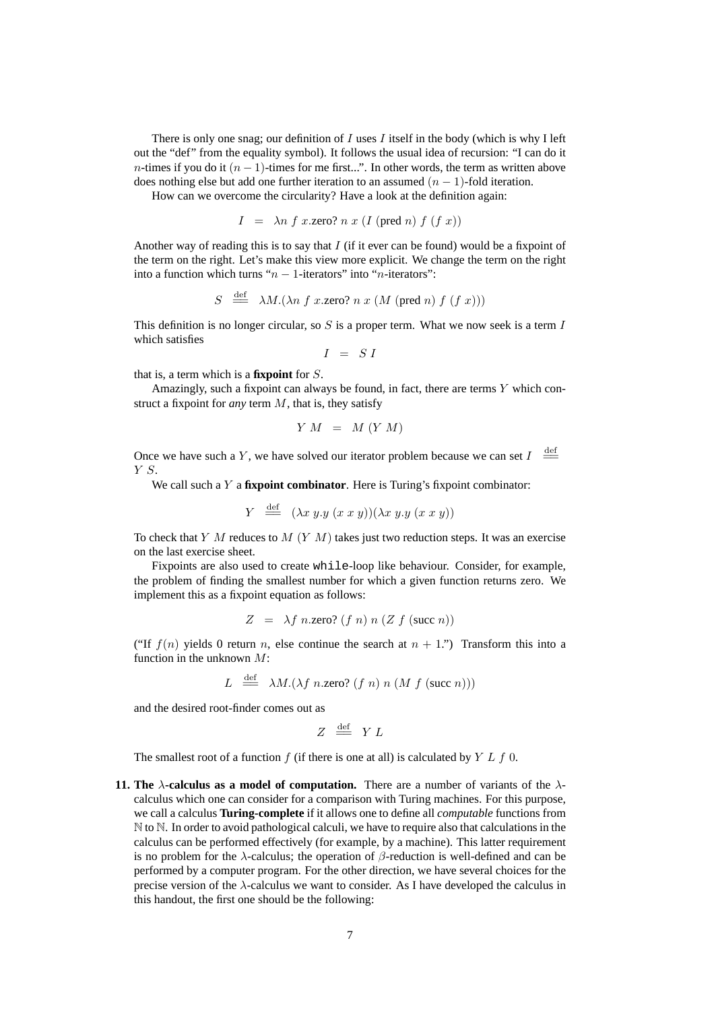There is only one snag; our definition of  $I$  uses  $I$  itself in the body (which is why I left out the "def" from the equality symbol). It follows the usual idea of recursion: "I can do it n-times if you do it  $(n - 1)$ -times for me first...". In other words, the term as written above does nothing else but add one further iteration to an assumed  $(n - 1)$ -fold iteration.

How can we overcome the circularity? Have a look at the definition again:

$$
I = \lambda n f x \text{.zero? } n x (I (pred n) f (f x))
$$

Another way of reading this is to say that  $I$  (if it ever can be found) would be a fixpoint of the term on the right. Let's make this view more explicit. We change the term on the right into a function which turns " $n - 1$ -iterators" into "n-iterators":

$$
S \stackrel{\text{def}}{\implies} \lambda M.(\lambda n \ f \ x.\text{zero? } n \ x \ (M \ (pred \ n) \ f \ (f \ x)))
$$

This definition is no longer circular, so  $S$  is a proper term. What we now seek is a term  $I$ which satisfies

 $I = SI$ 

that is, a term which is a **fixpoint** for S.

Amazingly, such a fixpoint can always be found, in fact, there are terms  $Y$  which construct a fixpoint for *any* term M, that is, they satisfy

$$
Y\ M\ =\ M\ (Y\ M)
$$

Once we have such a Y, we have solved our iterator problem because we can set  $I \stackrel{\text{def}}{=}$ Y S.

We call such a Y a **fixpoint combinator**. Here is Turing's fixpoint combinator:

$$
Y \stackrel{\text{def}}{\equiv} (\lambda x \ y. y \ (x \ x \ y))(\lambda x \ y. y \ (x \ x \ y))
$$

To check that Y M reduces to  $M$  (Y M) takes just two reduction steps. It was an exercise on the last exercise sheet.

Fixpoints are also used to create while-loop like behaviour. Consider, for example, the problem of finding the smallest number for which a given function returns zero. We implement this as a fixpoint equation as follows:

$$
Z = \lambda f \text{ } n \text{.zero? } (f \text{ } n) \text{ } n \text{ } (Z \text{ } f \text{ (succ } n))
$$

("If  $f(n)$  yields 0 return n, else continue the search at  $n + 1$ .") Transform this into a function in the unknown  $M$ :

$$
L \stackrel{\text{def}}{=} \lambda M.(\lambda f \text{ } n.\text{zero? } (f \text{ } n) \text{ } n \text{ } (M \text{ } f \text{ (succ } n)))
$$

and the desired root-finder comes out as

$$
Z \stackrel{\text{def}}{=\!\!=} Y L
$$

The smallest root of a function  $f$  (if there is one at all) is calculated by  $Y L f 0$ .

**11. The**  $\lambda$ **-calculus as a model of computation.** There are a number of variants of the  $\lambda$ calculus which one can consider for a comparison with Turing machines. For this purpose, we call a calculus **Turing-complete** if it allows one to define all *computable* functions from N to N. In order to avoid pathological calculi, we have to require also that calculations in the calculus can be performed effectively (for example, by a machine). This latter requirement is no problem for the  $\lambda$ -calculus; the operation of  $\beta$ -reduction is well-defined and can be performed by a computer program. For the other direction, we have several choices for the precise version of the  $\lambda$ -calculus we want to consider. As I have developed the calculus in this handout, the first one should be the following: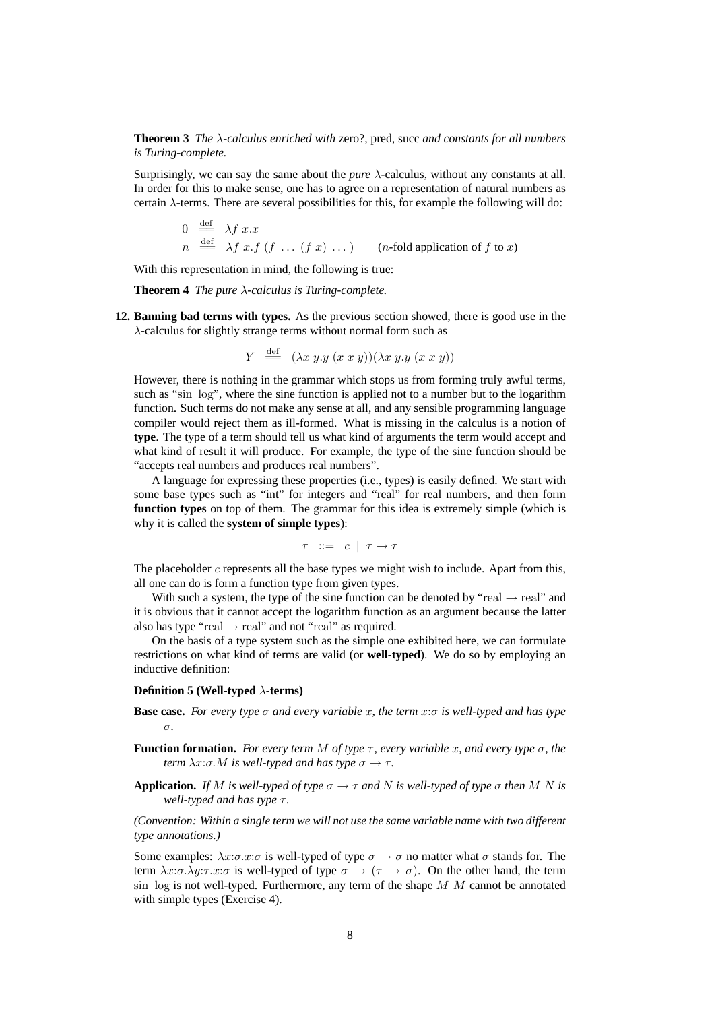**Theorem 3** *The* λ*-calculus enriched with* zero?*,* pred*,* succ *and constants for all numbers is Turing-complete.*

Surprisingly, we can say the same about the *pure* λ-calculus, without any constants at all. In order for this to make sense, one has to agree on a representation of natural numbers as certain  $\lambda$ -terms. There are several possibilities for this, for example the following will do:

$$
0 \stackrel{\text{def}}{=} \lambda f \ x.x
$$
  
\n
$$
n \stackrel{\text{def}}{=} \lambda f \ x.f \ (f \ \dots \ (f \ x) \ \dots)
$$
  
\n
$$
(n\text{-fold application of } f \text{ to } x)
$$

With this representation in mind, the following is true:

**Theorem 4** *The pure* λ*-calculus is Turing-complete.*

**12. Banning bad terms with types.** As the previous section showed, there is good use in the λ-calculus for slightly strange terms without normal form such as

$$
Y \stackrel{\text{def}}{\equiv} (\lambda x \ y. y \ (x \ x \ y))(\lambda x \ y. y \ (x \ x \ y))
$$

However, there is nothing in the grammar which stops us from forming truly awful terms, such as "sin log", where the sine function is applied not to a number but to the logarithm function. Such terms do not make any sense at all, and any sensible programming language compiler would reject them as ill-formed. What is missing in the calculus is a notion of **type**. The type of a term should tell us what kind of arguments the term would accept and what kind of result it will produce. For example, the type of the sine function should be "accepts real numbers and produces real numbers".

A language for expressing these properties (i.e., types) is easily defined. We start with some base types such as "int" for integers and "real" for real numbers, and then form **function types** on top of them. The grammar for this idea is extremely simple (which is why it is called the **system of simple types**):

 $\tau$  ::= c |  $\tau \rightarrow \tau$ 

The placeholder  $c$  represents all the base types we might wish to include. Apart from this, all one can do is form a function type from given types.

With such a system, the type of the sine function can be denoted by "real  $\rightarrow$  real" and it is obvious that it cannot accept the logarithm function as an argument because the latter also has type "real  $\rightarrow$  real" and not "real" as required.

On the basis of a type system such as the simple one exhibited here, we can formulate restrictions on what kind of terms are valid (or **well-typed**). We do so by employing an inductive definition:

#### **Definition 5 (Well-typed** λ**-terms)**

- **Base case.** *For every type* σ *and every variable* x*, the term* x:σ *is well-typed and has type* σ*.*
- **Function formation.** *For every term* M *of type*  $\tau$ *, every variable* x*, and every type*  $\sigma$ *, the term*  $\lambda x:\sigma.M$  *is well-typed and has type*  $\sigma \rightarrow \tau$ *.*
- **Application.** *If* M *is well-typed of type*  $\sigma \rightarrow \tau$  *and* N *is well-typed of type*  $\sigma$  *then* M N *is well-typed and has type*  $τ$ *.*

*(Convention: Within a single term we will not use the same variable name with two different type annotations.)*

Some examples:  $\lambda x:\sigma.x:\sigma$  is well-typed of type  $\sigma \to \sigma$  no matter what  $\sigma$  stands for. The term  $\lambda x:\sigma.\lambda y:\tau.x:\sigma$  is well-typed of type  $\sigma \to (\tau \to \sigma)$ . On the other hand, the term sin  $log$  is not well-typed. Furthermore, any term of the shape  $M$   $M$  cannot be annotated with simple types (Exercise 4).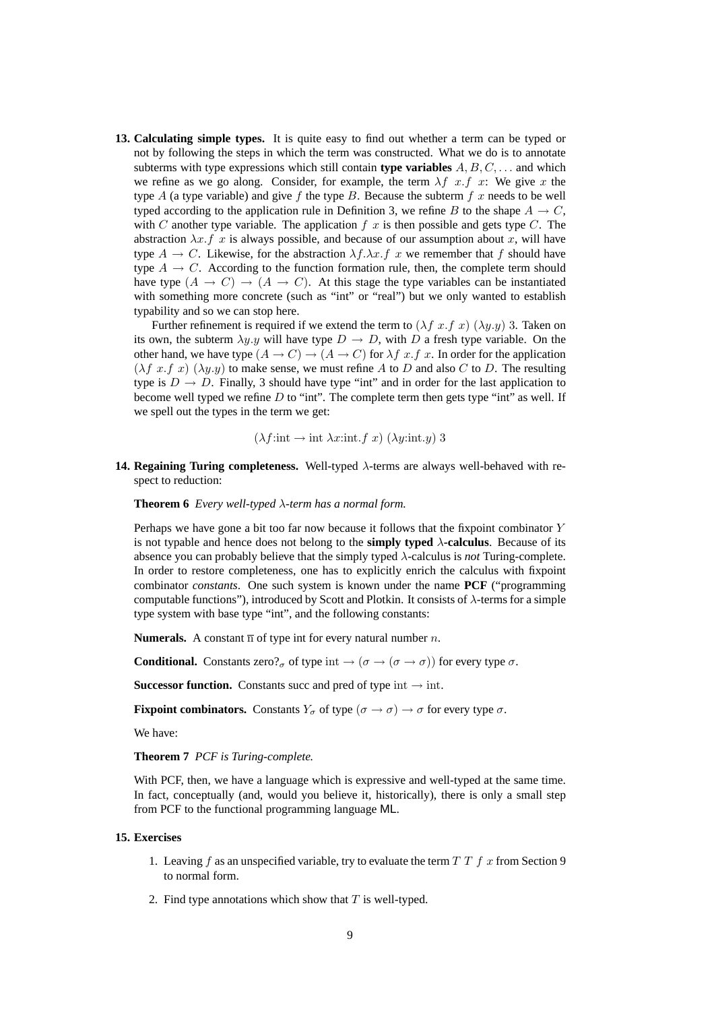**13. Calculating simple types.** It is quite easy to find out whether a term can be typed or not by following the steps in which the term was constructed. What we do is to annotate subterms with type expressions which still contain **type variables**  $A, B, C, \ldots$  and which we refine as we go along. Consider, for example, the term  $\lambda f$  x.f x: We give x the type A (a type variable) and give f the type B. Because the subterm f x needs to be well typed according to the application rule in Definition 3, we refine B to the shape  $A \rightarrow C$ , with C another type variable. The application  $f(x)$  is then possible and gets type C. The abstraction  $\lambda x.f x$  is always possible, and because of our assumption about x, will have type  $A \to C$ . Likewise, for the abstraction  $\lambda f \cdot \lambda x \cdot f$  x we remember that f should have type  $A \rightarrow C$ . According to the function formation rule, then, the complete term should have type  $(A \rightarrow C) \rightarrow (A \rightarrow C)$ . At this stage the type variables can be instantiated with something more concrete (such as "int" or "real") but we only wanted to establish typability and so we can stop here.

Further refinement is required if we extend the term to  $(\lambda f \, x.f \, x)$   $(\lambda y.y)$  3. Taken on its own, the subterm  $\lambda y.y$  will have type  $D \to D$ , with D a fresh type variable. On the other hand, we have type  $(A \to C) \to (A \to C)$  for  $\lambda f$  x. In order for the application  $(\lambda f \ x.f \ x)$   $(\lambda y.y)$  to make sense, we must refine A to D and also C to D. The resulting type is  $D \to D$ . Finally, 3 should have type "int" and in order for the last application to become well typed we refine  $D$  to "int". The complete term then gets type "int" as well. If we spell out the types in the term we get:

$$
(\lambda f: \text{int} \rightarrow \text{int } \lambda x: \text{int}.f x) (\lambda y: \text{int}.y)
$$
 3

**14. Regaining Turing completeness.** Well-typed λ-terms are always well-behaved with respect to reduction:

**Theorem 6** *Every well-typed* λ*-term has a normal form.*

Perhaps we have gone a bit too far now because it follows that the fixpoint combinator Y is not typable and hence does not belong to the **simply typed** λ**-calculus**. Because of its absence you can probably believe that the simply typed λ-calculus is *not* Turing-complete. In order to restore completeness, one has to explicitly enrich the calculus with fixpoint combinator *constants*. One such system is known under the name **PCF** ("programming computable functions"), introduced by Scott and Plotkin. It consists of  $\lambda$ -terms for a simple type system with base type "int", and the following constants:

**Numerals.** A constant  $\overline{n}$  of type int for every natural number *n*.

**Conditional.** Constants zero?<sub>σ</sub> of type int  $\rightarrow (\sigma \rightarrow (\sigma \rightarrow \sigma))$  for every type  $\sigma$ .

**Successor function.** Constants succ and pred of type int  $\rightarrow$  int.

**Fixpoint combinators.** Constants  $Y_{\sigma}$  of type  $(\sigma \to \sigma) \to \sigma$  for every type  $\sigma$ .

We have:

**Theorem 7** *PCF is Turing-complete.*

With PCF, then, we have a language which is expressive and well-typed at the same time. In fact, conceptually (and, would you believe it, historically), there is only a small step from PCF to the functional programming language ML.

#### **15. Exercises**

- 1. Leaving  $f$  as an unspecified variable, try to evaluate the term  $T T f x$  from Section 9 to normal form.
- 2. Find type annotations which show that  $T$  is well-typed.